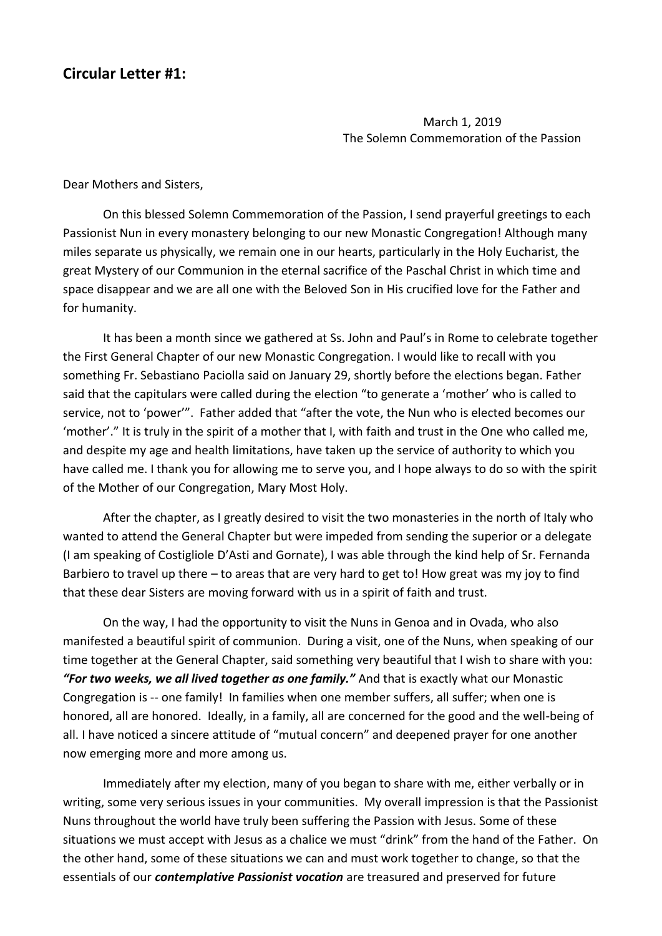## **Circular Letter #1:**

March 1, 2019 The Solemn Commemoration of the Passion

Dear Mothers and Sisters,

On this blessed Solemn Commemoration of the Passion, I send prayerful greetings to each Passionist Nun in every monastery belonging to our new Monastic Congregation! Although many miles separate us physically, we remain one in our hearts, particularly in the Holy Eucharist, the great Mystery of our Communion in the eternal sacrifice of the Paschal Christ in which time and space disappear and we are all one with the Beloved Son in His crucified love for the Father and for humanity.

It has been a month since we gathered at Ss. John and Paul's in Rome to celebrate together the First General Chapter of our new Monastic Congregation. I would like to recall with you something Fr. Sebastiano Paciolla said on January 29, shortly before the elections began. Father said that the capitulars were called during the election "to generate a 'mother' who is called to service, not to 'power'". Father added that "after the vote, the Nun who is elected becomes our 'mother'." It is truly in the spirit of a mother that I, with faith and trust in the One who called me, and despite my age and health limitations, have taken up the service of authority to which you have called me. I thank you for allowing me to serve you, and I hope always to do so with the spirit of the Mother of our Congregation, Mary Most Holy.

After the chapter, as I greatly desired to visit the two monasteries in the north of Italy who wanted to attend the General Chapter but were impeded from sending the superior or a delegate (I am speaking of Costigliole D'Asti and Gornate), I was able through the kind help of Sr. Fernanda Barbiero to travel up there – to areas that are very hard to get to! How great was my joy to find that these dear Sisters are moving forward with us in a spirit of faith and trust.

On the way, I had the opportunity to visit the Nuns in Genoa and in Ovada, who also manifested a beautiful spirit of communion. During a visit, one of the Nuns, when speaking of our time together at the General Chapter, said something very beautiful that I wish to share with you: *"For two weeks, we all lived together as one family."* And that is exactly what our Monastic Congregation is -- one family! In families when one member suffers, all suffer; when one is honored, all are honored. Ideally, in a family, all are concerned for the good and the well-being of all. I have noticed a sincere attitude of "mutual concern" and deepened prayer for one another now emerging more and more among us.

Immediately after my election, many of you began to share with me, either verbally or in writing, some very serious issues in your communities. My overall impression is that the Passionist Nuns throughout the world have truly been suffering the Passion with Jesus. Some of these situations we must accept with Jesus as a chalice we must "drink" from the hand of the Father. On the other hand, some of these situations we can and must work together to change, so that the essentials of our *contemplative Passionist vocation* are treasured and preserved for future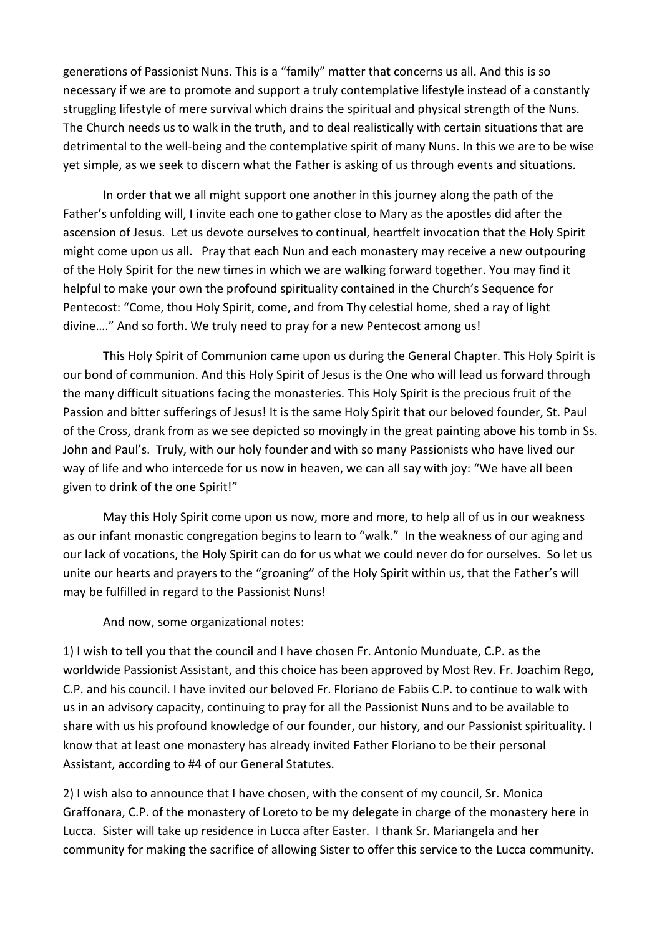generations of Passionist Nuns. This is a "family" matter that concerns us all. And this is so necessary if we are to promote and support a truly contemplative lifestyle instead of a constantly struggling lifestyle of mere survival which drains the spiritual and physical strength of the Nuns. The Church needs us to walk in the truth, and to deal realistically with certain situations that are detrimental to the well-being and the contemplative spirit of many Nuns. In this we are to be wise yet simple, as we seek to discern what the Father is asking of us through events and situations.

In order that we all might support one another in this journey along the path of the Father's unfolding will, I invite each one to gather close to Mary as the apostles did after the ascension of Jesus. Let us devote ourselves to continual, heartfelt invocation that the Holy Spirit might come upon us all. Pray that each Nun and each monastery may receive a new outpouring of the Holy Spirit for the new times in which we are walking forward together. You may find it helpful to make your own the profound spirituality contained in the Church's Sequence for Pentecost: "Come, thou Holy Spirit, come, and from Thy celestial home, shed a ray of light divine…." And so forth. We truly need to pray for a new Pentecost among us!

This Holy Spirit of Communion came upon us during the General Chapter. This Holy Spirit is our bond of communion. And this Holy Spirit of Jesus is the One who will lead us forward through the many difficult situations facing the monasteries. This Holy Spirit is the precious fruit of the Passion and bitter sufferings of Jesus! It is the same Holy Spirit that our beloved founder, St. Paul of the Cross, drank from as we see depicted so movingly in the great painting above his tomb in Ss. John and Paul's. Truly, with our holy founder and with so many Passionists who have lived our way of life and who intercede for us now in heaven, we can all say with joy: "We have all been given to drink of the one Spirit!"

May this Holy Spirit come upon us now, more and more, to help all of us in our weakness as our infant monastic congregation begins to learn to "walk." In the weakness of our aging and our lack of vocations, the Holy Spirit can do for us what we could never do for ourselves. So let us unite our hearts and prayers to the "groaning" of the Holy Spirit within us, that the Father's will may be fulfilled in regard to the Passionist Nuns!

And now, some organizational notes:

1) I wish to tell you that the council and I have chosen Fr. Antonio Munduate, C.P. as the worldwide Passionist Assistant, and this choice has been approved by Most Rev. Fr. Joachim Rego, C.P. and his council. I have invited our beloved Fr. Floriano de Fabiis C.P. to continue to walk with us in an advisory capacity, continuing to pray for all the Passionist Nuns and to be available to share with us his profound knowledge of our founder, our history, and our Passionist spirituality. I know that at least one monastery has already invited Father Floriano to be their personal Assistant, according to #4 of our General Statutes.

2) I wish also to announce that I have chosen, with the consent of my council, Sr. Monica Graffonara, C.P. of the monastery of Loreto to be my delegate in charge of the monastery here in Lucca. Sister will take up residence in Lucca after Easter. I thank Sr. Mariangela and her community for making the sacrifice of allowing Sister to offer this service to the Lucca community.